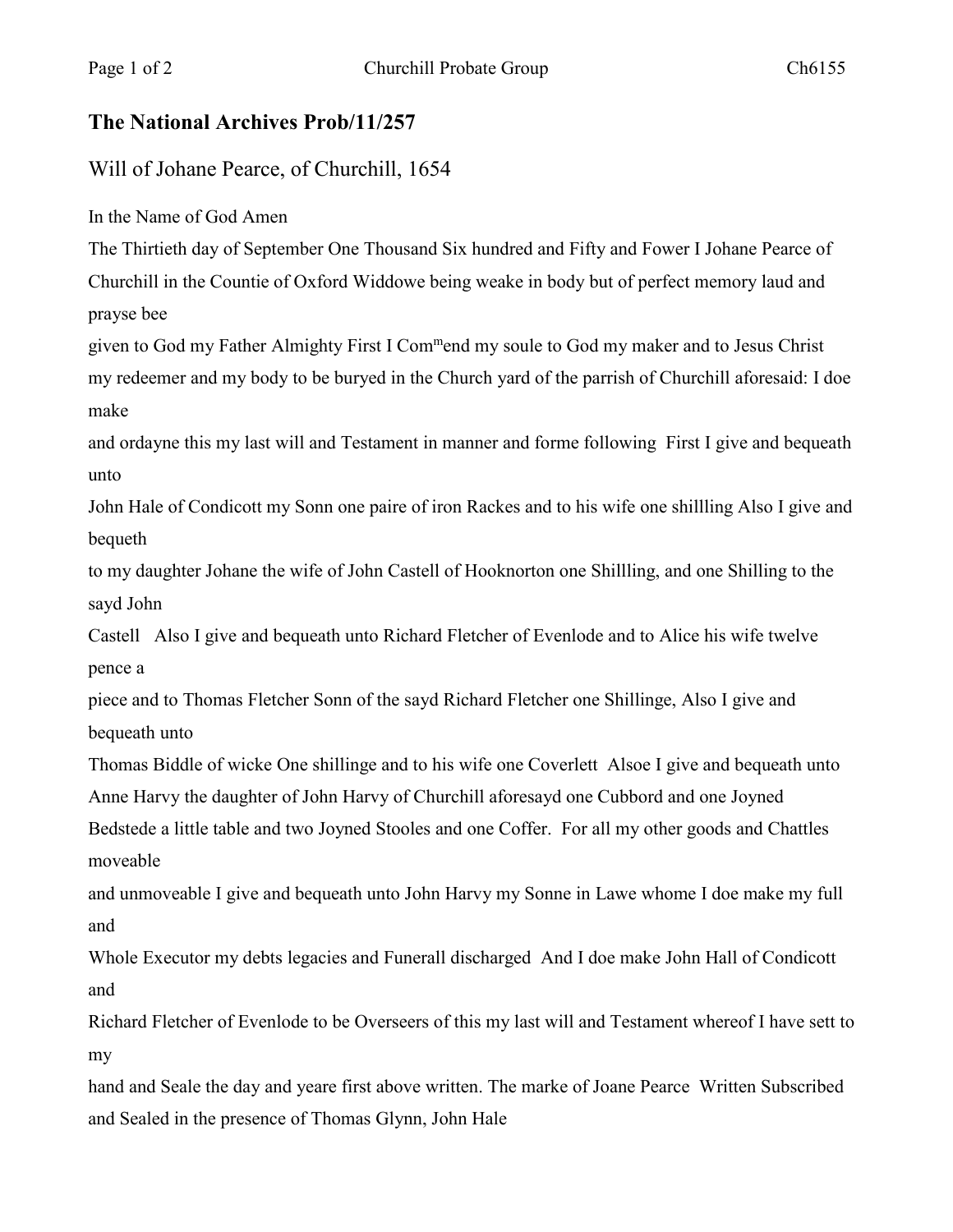## **The National Archives Prob/11/257**

## Will of Johane Pearce, of Churchill, 1654

In the Name of God Amen

The Thirtieth day of September One Thousand Six hundred and Fifty and Fower I Johane Pearce of Churchill in the Countie of Oxford Widdowe being weake in body but of perfect memory laud and prayse bee

given to God my Father Almighty First I Commend my soule to God my maker and to Jesus Christ my redeemer and my body to be buryed in the Church yard of the parrish of Churchill aforesaid: I doe make

and ordayne this my last will and Testament in manner and forme following First I give and bequeath unto

John Hale of Condicott my Sonn one paire of iron Rackes and to his wife one shillling Also I give and bequeth

to my daughter Johane the wife of John Castell of Hooknorton one Shillling, and one Shilling to the sayd John

Castell Also I give and bequeath unto Richard Fletcher of Evenlode and to Alice his wife twelve pence a

piece and to Thomas Fletcher Sonn of the sayd Richard Fletcher one Shillinge, Also I give and bequeath unto

Thomas Biddle of wicke One shillinge and to his wife one Coverlett Alsoe I give and bequeath unto Anne Harvy the daughter of John Harvy of Churchill aforesayd one Cubbord and one Joyned Bedstede a little table and two Joyned Stooles and one Coffer. For all my other goods and Chattles moveable

and unmoveable I give and bequeath unto John Harvy my Sonne in Lawe whome I doe make my full and

Whole Executor my debts legacies and Funerall discharged And I doe make John Hall of Condicott and

Richard Fletcher of Evenlode to be Overseers of this my last will and Testament whereof I have sett to my

hand and Seale the day and yeare first above written. The marke of Joane Pearce Written Subscribed and Sealed in the presence of Thomas Glynn, John Hale